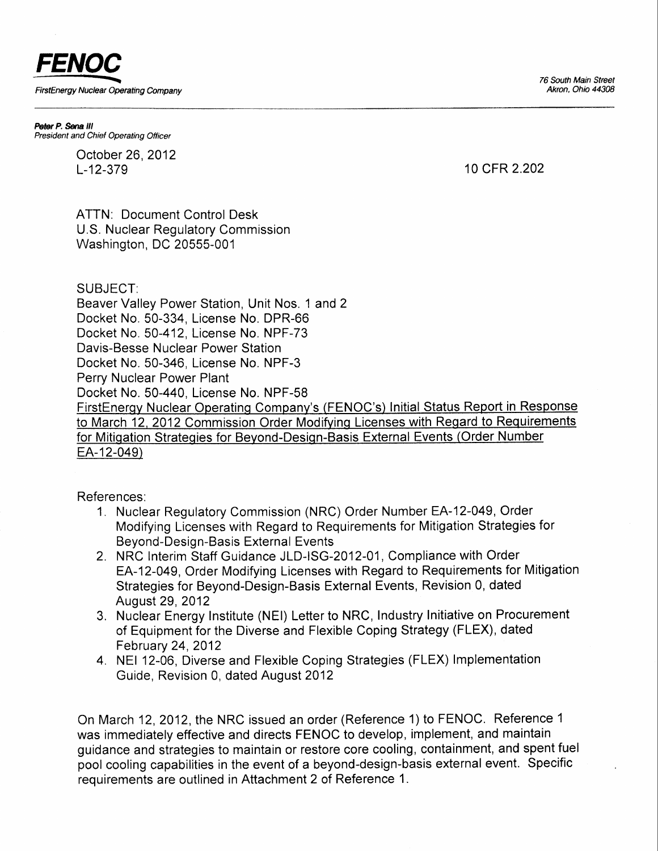76 South Main Street Akron, Ohio 44308



Peter P. Sena III President and Chief Operating Officer

> October 26,2012 L-12-379 10 cFR 2.202

ATTN: Document Control Desk U.S. Nuclear Regulatory Commission Washington, DC 20555-001

## SUBJECT:

Beaver Valley Power Station, Unit Nos. 1 and 2 Docket No.50-334, License No. DPR-66 Docket No. 50-412, License No. NPF-73 Davis-Besse Nuclear Power Station Docket No. 50-346, License No. NPF-3 Perry Nuclear Power Plant Docket No.50-440, License No. NPF-58 FirstEnerqv Nuclear Operatinq Companv's (FENOC's) lnitial Status Report in Response to March 12, 2012 Commission Order Modifying Licenses with Regard to Requirements for Mitiqation Strateqies for Bevond-Desiqn-Basis External Events (Order Number EA-12-049)

References:

- 1. Nuclear Regulatory Commission (NRC) Order Number EA-12-049, Order Modifying Licenses with Regard to Requirements for Mitigation Strategies for Beyond-Design-Basis External Events
- 2. NRC lnterim Staff Guidance JLD-lSG-2012-01 , Compliance with Order EA-12-049, Order Modifying Licenses with Regard to Requirements for Mitigation Strategies for Beyond-Design-Basis External Events, Revision 0, dated August 29, 2012
- 3. Nuclear Energy Institute (NEl) Letter to NRC, Industry Initiative on Procurement of Equipment for the Diverse and Flexible Coping Strategy (FLEX), dated February 24,2012
- 4. NEI 12-06, Diverse and Flexible Coping Strategies (FLEX) lmplementation Guide, Revision 0, dated August 2012

On March 12,2012, the NRC issued an order (Reference 1) to FENOC. Reference I was immediately effective and directs FENOC to develop, implement, and maintain guidance and strategies to maintain or restore core cooling, containment, and spent fuel pool cooling capabilities in the event of a beyond-design-basis external event. Specific requirements are outlined in Attachment 2 of Reference 1.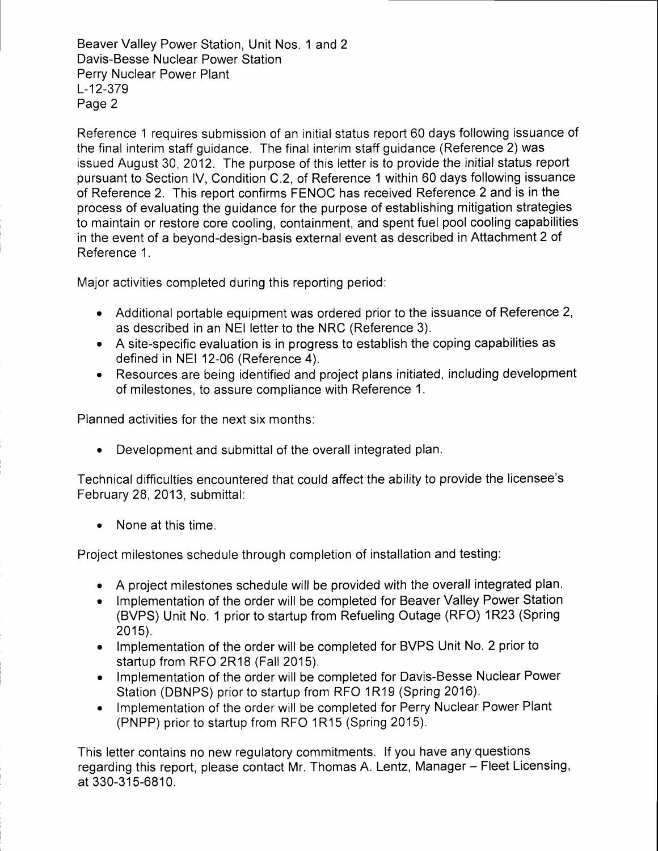Beaver Valley Power Station, Unit Nos. 1 and 2 Davis-Besse Nuclear Power Station Perry Nuclear Power Plant L-12-379 Page 2

Reference 1 requires submission of an initial status report 60 days following issuance of the final interim staff guidance. The final interim staff guidance (Reference 2) was issued August 30,2012. The purpose of this letter is to provide the initial status report pursuant to Section lV, Condition C.2, of Reference 1 within 60 days following issuance of Reference 2. This report confirms FENOC has received Reference 2 and is in the process of evaluating the guidance for the purpose of establishing mitigation strategies to maintain or restore core cooling, containment, and spent fuel pool cooling capabilities in the event of a beyond-design-basis external event as described in Attachment 2 of Reference 1.

Major activities completed during this reporting period:

- Additional portable equipment was ordered prior to the issuance of Reference 2, as described in an NEI letter to the NRC (Reference 3).
- A site-specific evaluation is in progress to establish the coping capabilities as defined in NEI 12-06 (Reference 4).
- Resources are being identified and project plans initiated, including development of milestones, to assure compliance with Reference 1.

Planned activities for the next six months:

• Development and submittal of the overall integrated plan.

Technical difficulties encountered that could affect the ability to provide the licensee's February 28, 2013, submittal:

• None at this time.

Project milestones schedule through completion of installation and testing:

- . A project milestones schedule will be provided with the overall integrated plan.
- . lmplementation of the order will be completed for Beaver Valley Power Station (BVPS) Unit No. 1 prior to startup from Refueling Outage (RFO) 1R23 (Spring 2015).
- Implementation of the order will be completed for BVPS Unit No. 2 prior to startup from RFO 2R18 (Fall 2015).
- Implementation of the order will be completed for Davis-Besse Nuclear Power Station (DBNPS) prior to startup from RFO 1R19 (Spring 2016).
- Implementation of the order will be completed for Perry Nuclear Power Plant (PNPP) prior to startup from RFO 1R15 (Spring 2015).

This letter contains no new regulatory commitments, lf you have any questions regarding this report, please contact Mr. Thomas A. Lentz, Manager - Fleet Licensing, at 330-315-6810.